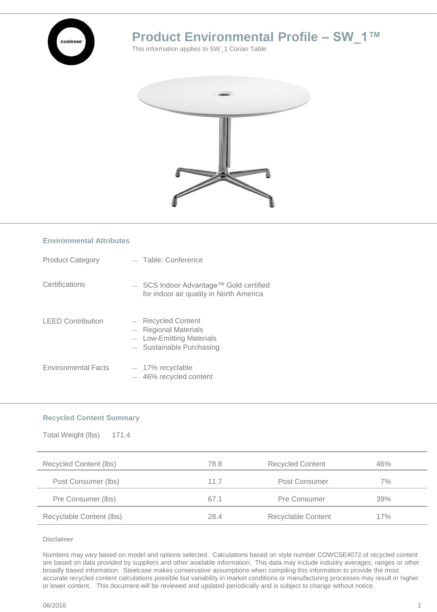

# **Product Environmental Profile – SW\_1™**

This information applies to SW\_1 Corian Table



### **Environmental Attributes**

| <b>Product Category</b>    | - Table: Conference                                                                                    |
|----------------------------|--------------------------------------------------------------------------------------------------------|
| Certifications             | $-$ SCS Indoor Advantage <sup>TM</sup> Gold certified<br>for indoor air quality in North America       |
| <b>LEED Contribution</b>   | - Recycled Content<br>$-$ Regional Materials<br>- Low-Emitting Materials<br>$-$ Sustainable Purchasing |
| <b>Environmental Facts</b> | $-17\%$ recyclable<br>$-46\%$ recycled content                                                         |

### **Recycled Content Summary**

| Total Weight (lbs)<br>171.4 |      |                         |     |  |
|-----------------------------|------|-------------------------|-----|--|
| Recycled Content (lbs)      | 78.8 | <b>Recycled Content</b> | 46% |  |
| Post Consumer (lbs)         | 11.7 | Post Consumer           | 7%  |  |
| Pre Consumer (lbs)          | 67.1 | Pre Consumer            | 39% |  |
| Recyclable Content (lbs)    | 28.4 | Recyclable Content      | 17% |  |

Disclaimer

Numbers may vary based on model and options selected. Calculations based on style number COWCSE4072 of recycled content are based on data provided by suppliers and other available information. This data may include industry averages, ranges or other broadly based information. Steelcase makes conservative assumptions when compiling this information to provide the most accurate recycled content calculations possible but variability in market conditions or manufacturing processes may result in higher or lower content. This document will be reviewed and updated periodically and is subject to change without notice.